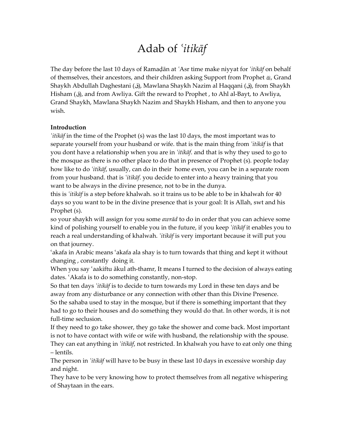# Adab of *¿itikāf*

The day before the last 10 days of Ramaļān at *¿*Asr time make niyyat for *¿itikāf* on behalf of themselves, their ancestors, and their children asking Support from Prophet ÿ, Grand Shaykh Abdullah Daghestani (ق(, Mawlana Shaykh Nazim al Haqqani (ق(, from Shaykh Hisham (ق(, and from Awliya. Gift the reward to Prophet , to Ahl al-Bayt, to Awliya, Grand Shaykh, Mawlana Shaykh Nazim and Shaykh Hisham, and then to anyone you wish.

#### **Introduction**

*¿itikāf* in the time of the Prophet (s) was the last 10 days, the most important was to separate yourself from your husband or wife. that is the main thing from *¿itikāf* is that you dont have a relationship when you are in *¿itikāf*. and that is why they used to go to the mosque as there is no other place to do that in presence of Prophet (s). people today how like to do *¿itikāf*, usually, can do in their home even, you can be in a separate room from your husband. that is *¿itikāf*. you decide to enter into a heavy training that you want to be always in the divine presence, not to be in the dunya.

this is *¿itikāf* is a step before khalwah. so it trains us to be able to be in khalwah for 40 days so you want to be in the divine presence that is your goal: It is Allah, swt and his Prophet (s).

so your shaykh will assign for you some *awrād* to do in order that you can achieve some kind of polishing yourself to enable you in the future, if you keep *¿itikāf* it enables you to reach a real understanding of khalwah. *<sup>†</sup>itkãf* is very important because it will put you on that journey.

'akafa in Arabic means 'akafa ala shay is to turn towards that thing and kept it without changing , constantly doing it.

When you say 'aakiftu ākul ath-thamr, It means I turned to the decision of always eating dates. 'Akafa is to do something constantly, non-stop.

So that ten days *¿itikāf* is to decide to turn towards my Lord in these ten days and be away from any disturbance or any connection with other than this Divine Presence. So the sahaba used to stay in the mosque, but if there is something important that they had to go to their houses and do something they would do that. In other words, it is not full-time seclusion.

If they need to go take shower, they go take the shower and come back. Most important is not to have contact with wife or wife with husband, the relationship with the spouse. They can eat anything in *¿itikāf*, not restricted. In khalwah you have to eat only one thing – lentils.

The person in *¿itikāf* will have to be busy in these last 10 days in excessive worship day and night.

They have to be very knowing how to protect themselves from all negative whispering of Shaytaan in the ears.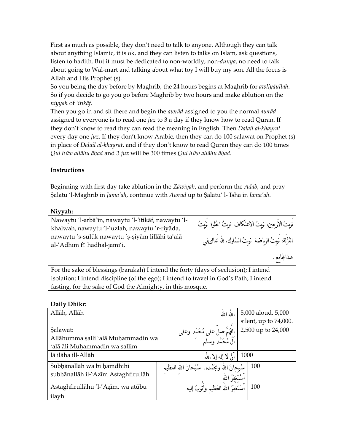First as much as possible, they don't need to talk to anyone. Although they can talk about anything Islamic, it is ok, and they can listen to talks on Islam, ask questions, listen to hadith. But it must be dedicated to non-worldly, non-*dunya*, no need to talk about going to Wal-mart and talking about what toy I will buy my son. All the focus is Allah and His Prophet (s).

So you being the day before by Maghrib, the 24 hours begins at Maghrib for *awliyāullah*. So if you decide to go you go before Maghrib by two hours and make ablution on the *niyyah* of *¿itikāf*,

Then you go in and sit there and begin the *awrād* assigned to you the normal *awrād* assigned to everyone is to read one *juz* to 3 a day if they know how to read Quran. If they don't know to read they can read the meaning in English. Then *Dalail al-khayrat* every day one *juz*. If they don't know Arabic, then they can do 100 salawat on Prophet (s) in place of *Dalail al-khayrat*. and if they don't know to read Quran they can do 100 times *Qul h*ū*w allāhu āħad* and 3 *juz* will be 300 times *Qul h*ū*w allāhu āħad*.

# **Instructions**

Beginning with first day take ablution in the *Zāwīyah*, and perform the *Adab*, and pray Šalātu 'l-Maghrib in *Jama¿ah*, continue with *Awrād* up to Šalātu' l-*¿*Ishā in *Jama¿ah*.

#### **Niyyah:**

Nawaytu 'l-arbā¿īn, nawaytu 'l-*¿*itikāf, nawaytu 'lkhalwah, nawaytu 'l-'uzlah, nawaytu 'r-riyāda, nawaytu 's-sulūk nawaytu 'ş-şiyām lillāhi ta'alā al-¿Adhīm fī hādhal-jāmi¿i.

| .<br>نَوِيتُ الأَرْبِعينِ، نَوِيتُ الاعتكاف نَوِيتُ الْحَلَوةِ  نَوَيتُ |
|-------------------------------------------------------------------------|
| العُزَّلَة، نَويتُ الرياضة ۚ نويتُ السُلوك، لله تَعالى فمي              |
| هذالجامع.                                                               |

For the sake of blessings (barakah) I intend the forty (days of seclusion); I intend isolation; I intend discipline (of the ego); I intend to travel in God's Path; I intend fasting, for the sake of God the Almighty, in this mosque.

## **Daily Dhikr:**

| Allāh, Allāh                        | الله الله                                                             | 5,000 aloud, 5,000    |
|-------------------------------------|-----------------------------------------------------------------------|-----------------------|
|                                     |                                                                       | silent, up to 74,000. |
| Salawāt:                            |                                                                       | 2,500 up to 24,000    |
| Allāhumma șalli 'alā Muḥammadin wa  | اللَّهُمَّ صل على مُحَمَّد وعلى<br>آلَ مُحَمَّد وسلم                  |                       |
| 'alā āli Muhammadin wa sallim       |                                                                       |                       |
| lā ilāha ill-Allāh                  | أَنْ لا إله إلا الله                                                  | 1000                  |
| Subhānallāh wa bi hamdhihi          |                                                                       | 100                   |
| subhānallāh il-'Azīm Astaghfirullāh | سُبحانَ الله ومَجَمْده. سُبْحانَ اللهِ العَظيمِ<br>أَسْتَغْفِرُ اللهِ |                       |
| Astaghfirullāhu 'l-'Azīm, wa atūbu  | أسْتَغفِرُ الله العَظيم وآتوبُ إليه                                   | 100                   |
| ilayh                               |                                                                       |                       |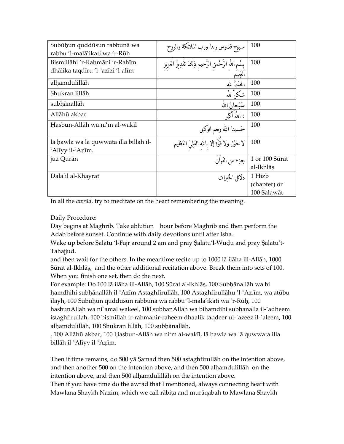| Subūḥun quddūsun rabbunā wa<br>rabbu 'l-malā'ikati wa 'r-Rūh        | سبوح قدوس ربنا ورب الملائكة والروح                                  | 100                         |
|---------------------------------------------------------------------|---------------------------------------------------------------------|-----------------------------|
| Bismillāhi 'r-Raḥmāni 'r-Rahīm<br>dhālika taqdīru 'l-'azīzi 'l-alīm | بِسْمِ اللهِ الرَّحْمنِ الرَّحيمِ ذِلكَ تقدِيرُ العَزِيزِ<br>لعَليم | 100                         |
| alhamdulillāh                                                       | الجُمْدُ لله                                                        | 100                         |
| Shukran lillāh                                                      | شكرأ للهُ                                                           | 100                         |
| subhānallāh                                                         | سُبْحانُ الله                                                       | 100                         |
| Allāhū akbar                                                        | : اللهُ أَكَمَ                                                      | 100                         |
| Hasbun-Allāh wa ni'm al-wakīl                                       | حَسبنا الله ونعم الوكيل                                             | 100                         |
| lā hawla wa lā quwwata illa billāh il-<br>'Alīyy il-'Azīm.          | لا حَوْل ولا قَوَّة إلا بالله العَلِيّ العَظيم                      | 100                         |
| juz Qurān                                                           | جزء من القرآن                                                       | 1 or 100 Sūrat<br>al-Ikhlāș |
| Dalā'il al-Khayrāt                                                  | دلائل الخبرات                                                       | 1 Hizb                      |
|                                                                     |                                                                     | (chapter) or                |
|                                                                     |                                                                     | 100 Şalawāt                 |

In all the *awrād*, try to meditate on the heart remembering the meaning.

Daily Procedure:

Day begins at Maghrib. Take ablution hour before Maghrib and then perform the Adab before sunset. Continue with daily devotions until after Isha.

Wake up before Salātu 'l-Fajr around 2 am and pray Salātu'l-Wuḍu and pray Salātu't-Tahajjud.

and then wait for the others. In the meantime recite up to 1000 lā ilāha ill-Allāh, 1000 Sūrat al-Ikhlāš, and the other additional recitation above. Break them into sets of 100. When you finish one set, then do the next.

For example: Do 100 lā ilāha ill-Allāh, 100 Sūrat al-Ikhlāš, 100 Subħānallāh wa bi ħamdhihi subħānallāh il-¿Azīm Astaghfirullāh, 100 Astaghfirullāhu 'l-¿Az.īm, wa atūbu ilayh, 100 Subūħun quddūsun rabbunā wa rabbu 'l-malā¿ikati wa 'r-Rūħ, 100 hasbunAllah wa ni`amal wakeel, 100 subhanAllah wa bihamdihi subhanalla il-`adheem istaghfirullah, 100 bismillah ir-rahmanir-raheem dhaalik taqdeer ul-`azeez il-`aleem, 100 alħamdulillāh, 100 Shukran lillāh, 100 subħānallāh,

, 100 Allāhū akbar, 100 Ħasbun-Allāh wa ni¿m al-wakīl, lā ħawla wa lā quwwata illa billāh il-'Alīyy il-'Azīm.

Then if time remains, do 500 yā Šamad then 500 astaghfirullāh on the intention above, and then another 500 on the intention above, and then 500 alħamdulillāh on the intention above, and then 500 alħamdulillāh on the intention above.

Then if you have time do the awrad that I mentioned, always connecting heart with Mawlana Shaykh Nazim, which we call rābiţa and murāqabah to Mawlana Shaykh